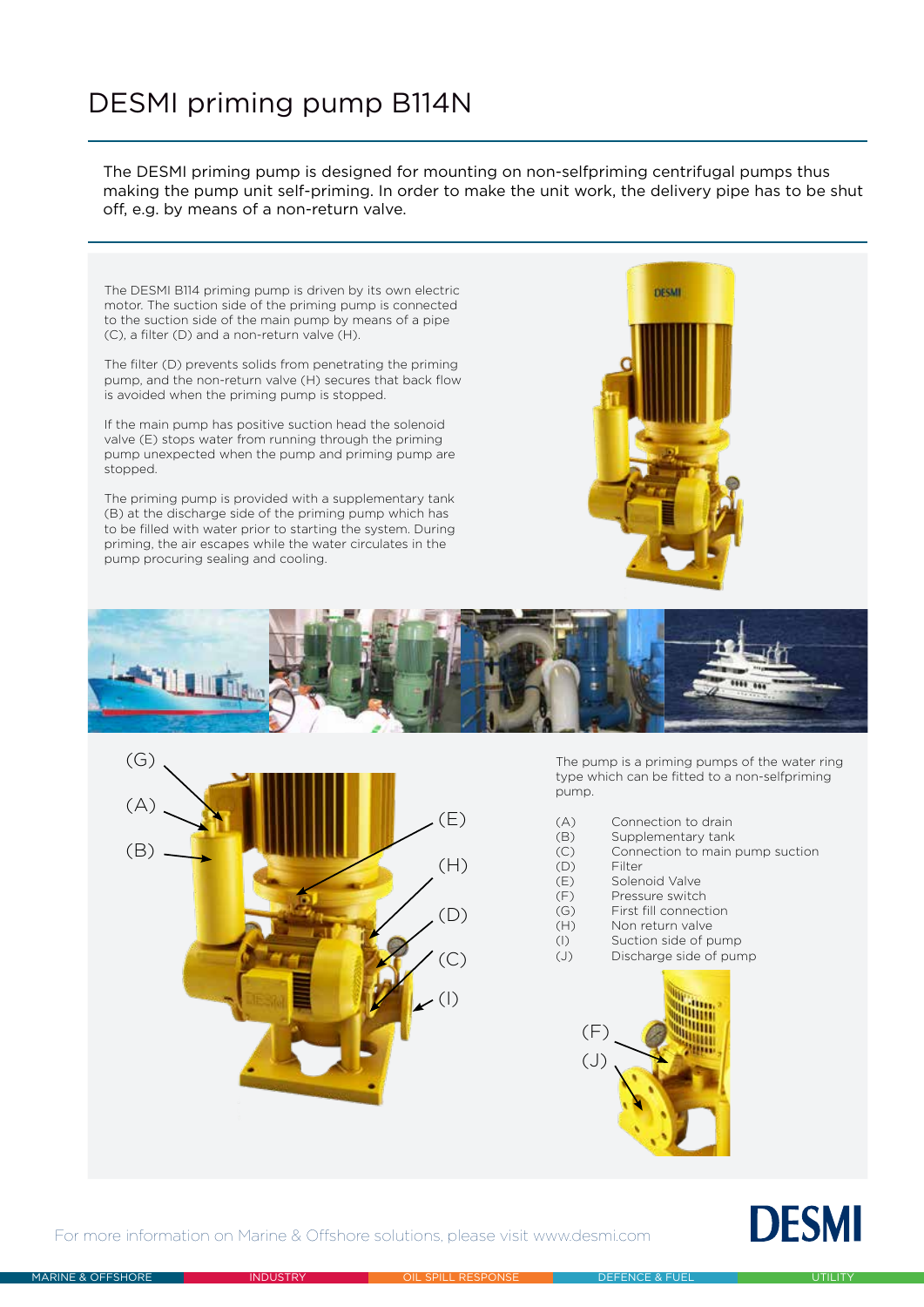## DESMI priming pump B114N

The DESMI priming pump is designed for mounting on non-selfpriming centrifugal pumps thus making the pump unit self-priming. In order to make the unit work, the delivery pipe has to be shut off, e.g. by means of a non-return valve.

The DESMI B114 priming pump is driven by its own electric motor. The suction side of the priming pump is connected to the suction side of the main pump by means of a pipe (C), a filter (D) and a non-return valve (H).

The filter (D) prevents solids from penetrating the priming pump, and the non-return valve (H) secures that back flow is avoided when the priming pump is stopped.

If the main pump has positive suction head the solenoid valve (E) stops water from running through the priming pump unexpected when the pump and priming pump are stopped.

The priming pump is provided with a supplementary tank (B) at the discharge side of the priming pump which has to be filled with water prior to starting the system. During priming, the air escapes while the water circulates in the pump procuring sealing and cooling.







The pump is a priming pumps of the water ring type which can be fitted to a non-selfpriming pump.

- (A) Connection to drain
- (B) Supplementary tank
- (C) Connection to main pump suction
- (D) Filter<br>(E) Solen
- Solenoid Valve
- (F) Pressure switch
- (G) First fill connection
- (H) Non return valve
- (I) Suction side of pump<br>(J) Discharge side of pun
	- Discharge side of pump



## **DESMI**

For more information on Marine & Offshore solutions, please visit www.desmi.com